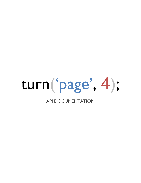

# API DOCUMENTATION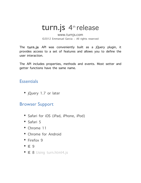# turn.js  $4<sup>th</sup>$  release

www.turnjs.com ©2012 Emmanuel Garcia – All rights reserved

The turn.js API was conveniently built as a jQuery plugin, it provides access to a set of features and allows you to define the user interaction.

The API includes properties, methods and events. Most setter and getter functions have the same name.

# **Essentials**

• jQuery 1.7 or later

# Browser Support

- Safari for iOS (iPad, iPhone, iPod)
- Safari 5
- Chrome 11
- Chrome for Android
- Firefox 9
- $\bullet$  IE 9
- IE 8 Using turn.html4.js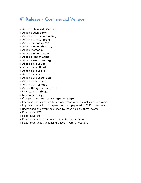# 4th Release - Commercial Version

- + Added option autoCenter
- + Added option zoom
- + Added property animating
- + Added property zoom
- + Added method center
- + Added method destroy
- + Added method is
- + Added method zoom
- + Added event missing
- + Added event zooming
- + Added class .even
- + Added class .fixed
- + Added class .hard
- + Added class .odd
- + Added class .own-size
- + Added class .sheet
- + Added class .sheet
- + Added the ignore attribute
- + New turn.html4.js
- + New scissors.js
- + Changed the class .turn-page to .page
- + Improved the animation frame generator with requestAnimationFrame
- + Improved the animation speed for hard pages with CSS3 transitions
- + Redesigned the event sequence to listen to only three events
- + Fixed issue #79
- + Fixed issue #91
- + Fixed issue about the event order turning + turned
- + Fixed issue about appending pages in wrong locations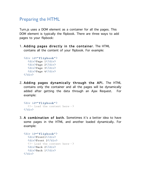# Preparing the HTML

Turn.js uses a DOM element as a container for all the pages. This DOM element is typically the flipbook. There are three ways to add pages to your flipbook:

1. Adding pages directly in the container. The HTML contains all the content of your flipbook. For example:

```
\langlediv id="flipbook">
   \langle \text{div} \ranglePage 1 \langle \text{div} \rangle<div>Page 2</div>
   <div>Page 3</div>
   <div>Page 4</div>
\langlevib\rangle
```
2. Adding pages dynamically through the API. The HTML contains only the container and all the pages will be dynamically added after getting the data through an Ajax Request. For example:

```
<div id="flipbook">
  <!— Load the content here-->
\langle/div\rangle
```
3. A combination of both. Sometimes it's a better idea to have some pages in the HTML and another loaded dynamically. For example:

```
<div id="flipbook">
  <div>Front1</div>
  <div>Front 2</div>
  <!— Load the content here-->
  <div>Back 2</div>
  <div>Back 1</div>
\langle/div\rangle
```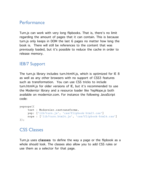# Performance

Turn.js can work with very long flipbooks. That is, there's no limit regarding the amount of pages that it can contain. This is because turn.js only keeps in DOM the last 6 pages no matter how long the book is. There will still be references to the content that was previously loaded, but it's possible to reduce the cache in order to release memory.

# IE8/7 Support

The turn.js library includes turn.html4.js, which is optimized for IE 8 as well as any other browsers with no support of CSS3 features such as transformation. You can use CSS tricks to include turn.html4.js for older versions of IE, but it's recommended to use the Modernizr library and a resource loader like YepNope.js both available on modernizr.com. For instance the following JavaScript code:

```
yepnope({
     test : Modernizr.csstransforms,
     yep: ['lib/turn.js', 'css/flipbook-html5.css']
     nope : ['lib/turn.html4.js', 'css/flipbook-html4.css']
});
```
# CSS Classes

Turn.js uses classes to define the way a page or the flipbook as a whole should look. The classes also allow you to add CSS rules or use them as a selector for that page.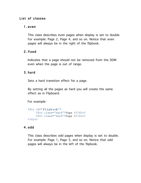### List of classes

### 1. even

This class describes even pages when display is set to double. For example: Page 2, Page 4, and so on. Notice that even pages will always be in the right of the flipbook.

### 2. fixed

Indicates that a page should not be removed from the DOM even when the page is out of range.

### 3. hard

Sets a hard transition effect for a page.

By setting all the pages as hard you will create the same effect as in Flipboard.

For example:

```
<div id="flipbook">
     <div class="hard">Page 1</div>
     <div class="hard">Page 2</div>
\langlevib\rangle
```
# 4. odd

This class describes odd pages when display is set to double. For example: Page 1, Page 3, and so on. Notice that odd pages will always be in the left of the flipbook.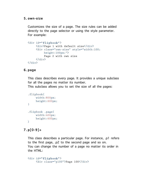#### 5. own-size

Customizes the size of a page. The size rules can be added directly to the page selector or using the style parameter. For example:

```
\langlediv id="flipbook">
      <div>Page 1 with default size</div>
      <div class="own-size" style="width:100;
            height:100px;">
            Page 2 with own size
      \langlevib\rangle\langle\overline{v}ib\rangle
```
### 6. page

This class describes every page. It provides a unique subclass for all the pages no matter its number.

This subclass allows you to set the size of all the pages:

```
.flipbook{
     width:800px;
     height:600px;
}
.flipbook .page{
     width:400px;
     height:600px;
}
```
# 7. p[0-9]+

This class describes a particular page. For instance, .p1 refers to the first page, .p2 to the second page and so on. You can change the number of a page no matter its order in the HTML:

```
<div id="flipbook">
    <div class="p100">Page 100</div>
```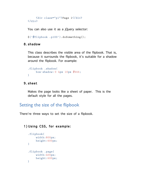```
<div class="p1">Page 1</div>
\langle\overline{v}
```
You can also use it as a jQuery selector:

```
$('#flipbook .p100').doSomething();
```
#### 8. shadow

This class describes the visible area of the flipbook. That is, because it surrounds the flipbook, it's suitable for a shadow around the flipbook. For example:

```
.flipbook .shadow{ 
     box-shadow: 0 4px 10px #666;
}
```
### 9. sheet

Makes the page looks like a sheet of paper. This is the default style for all the pages.

# Setting the size of the flipbook

There're three ways to set the size of a flipbook.

### 1) Using CSS, for example:

```
.flipbook{
     width:800px;
     height:600px;
}
.flipbook .page{
     width:400px;
     height:600px;
}
```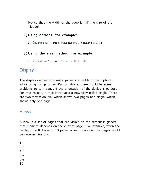Notice that the width of the page is half the size of the flipbook.

### 2) Using options, for example:

\$('#flipbook').turn({width:800, height:600});

### 3) Using the size method, for example:

\$('#flipbook').turn('size', 800, 600);

# **Display**

The display defines how many pages are visible in the flipbook. While using turn.js on an iPad or iPhone, there would be some problems to turn pages if the orientation of the device is portrait. For that reason, turn.js introduces a new view called single. There are two views: double, which shows two pages and single, which shows only one page.

# Views

A view is a set of pages that are visible on the screen; in general that moment depends on the current page. For example, when the display of a flipbook of 10 pages is set to *double*, the pages would be grouped like this:

- 1
- 2-3
- 4-5
- 6-7
- 8-9
- 10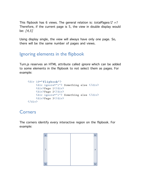This flipbook has 6 views. The general relation is: totalPages/2 +1 Therefore, if the current page is 5, the view in double display would be: [4,5]

Using display single, the view will always have only one page. So, there will be the same number of pages and views.

# Ignoring elements in the flipbook

Turn.js reserves an HTML attribute called *ignore* which can be added to some elements in the flipbook to not select them as pages. For example:

```
<div id="flipbook">
     <div ignore="1"> Something else </div>
     <div>Page 1</div>
     <div>Page 2</div>
     <div ignore="1"> Something else </div>
     <div>Page 3</div>
\langle/div\rangle
```
# Corners

The corners identify every interactive region on the flipbook. For example:

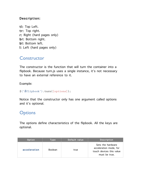### Description:

tl: Top Left. tr: Top right. r: Right (hard pages only) br: Bottom right. bl: Bottom left. l: Left (hard pages only)

# **Constructor**

The constructor is the function that will turn the container into a flipbook. Because turn.js uses a single instance, it's not necessary to have an external reference to it.

Example:

```
$('#flipbook').turn([options]);
```
Notice that the constructor only has one argument called options and it's optional.

# **Options**

The options define characteristics of the flipbook. All the keys are optional.

| Option       | Type           | Default value | <b>Description</b>                                                                       |
|--------------|----------------|---------------|------------------------------------------------------------------------------------------|
| acceleration | <b>Boolean</b> | true          | Sets the hardware<br>acceleration mode, for<br>touch devices this value<br>must be true. |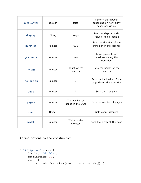| autoCenter  | Boolean | false                             | Centers the flipbook<br>depending on how many<br>pages are visible. |
|-------------|---------|-----------------------------------|---------------------------------------------------------------------|
| display     | String  | single                            | Sets the display mode.<br>Values: single, double                    |
| duration    | Number  | 600                               | Sets the duration of the<br>transition in milliseconds              |
| gradients   | Number  | true                              | Shows gradients and<br>shadows during the<br>transition.            |
| height      | Number  | Height of the<br>selector         | Sets the height of the<br>selector                                  |
| inclination | Number  | $\overline{0}$                    | Sets the inclination of the<br>page during the transition           |
| page        | Number  | 1                                 | Sets the first page                                                 |
| pages       | Number  | The number of<br>pages in the DOM | Sets the number of pages                                            |
| when        | Object  | {}                                | Sets event listeners                                                |
| width       | Number  | Width of the<br>selector          | Sets the width of the page                                          |

Adding options to the constructor:

```
$('#flipbook').turn({
    display: 'double',
    inclination: 50,
    when: {
         turned: function(event, page, pageObj) {
```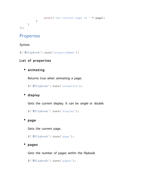```
alert('the current page is ' + page);
          }
     }
});
```
# **Properties**

Syntax:

\$('#flipbook').turn('propertyName');

# List of properties

# • animating

Returns true when animating a page.

\$('#flipbook').turn('animation');

# • display

Gets the current display. It can be single or double.

```
$('#flipbook').turn('display');
```
# • page

Gets the current page.

```
$('#flipbook').turn('page');
```
# • pages

Gets the number of pages within the flipbook

```
$('#flipbook').turn('pages');
```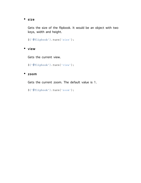#### • size

Gets the size of the flipbook. It would be an object with two keys, width and height.

\$('#flipbook').turn('size');

• view

Gets the current view.

\$('#flipbook').turn('view');

### • zoom

Gets the current zoom. The default value is 1.

```
$('#flipbook').turn('zoom');
```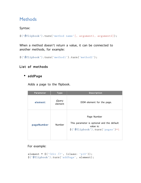# **Methods**

### Syntax:

```
$('#flipbook').turn('method name'[, argument1, argument2]);
```
When a method doesn't return a value, it can be connected to another methods, for example:

```
$('#flipbook').turn('method1').turn('method2');
```
### List of methods

### • addPage

Adds a page to the flipbook.

| Parameter  | <b>Type</b>       | <b>Description</b>                                                                                                               |
|------------|-------------------|----------------------------------------------------------------------------------------------------------------------------------|
| element    | jQuery<br>element | DOM element for the page.                                                                                                        |
| pageNumber | <b>Number</b>     | Page Number<br>This parameter is optional and the default<br>value is:<br>$\$( ' \# \text{flipbook } ' ) . turn ( 'pages' ) + 1$ |

For example:

```
element = \zeta('\langlediv />', {class: 'p10'});
$('#flipbook').turn('addPage', element);
```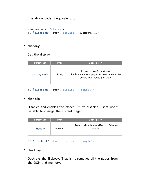The above code is equivalent to:

```
element = \zeta('\langlediv />');
$('#flipbook').turn('addPage', element, 10);
```
### • display

Set the display.

| Parameter   | <b>Type</b> | <b>Description</b>                                                                                                    |
|-------------|-------------|-----------------------------------------------------------------------------------------------------------------------|
| displayMode | String      | It can be <i>single</i> or <i>double</i> .<br>Single means one page per view, meanwhile<br>double two pages per view. |

```
$('#flipbook').turn('display', 'single');
```
# • disable

Disables and enables the effect. If it's disabled, users won't be able to change the current page.

| Parameter | Type           | <b>Description</b>                                |
|-----------|----------------|---------------------------------------------------|
| disable   | <b>Boolean</b> | True to disable the effect or false to<br>enable. |

\$('#flipbook').turn('display', 'single');

### • destroy

Destroys the flipbook. That is, it removes all the pages from the DOM and memory.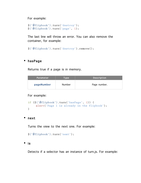For example:

```
$('#flipbook').turn('destroy');
 $('#flipbook').turn('page', 1);
```
The last line will throw an error. You can also remove the container, for example:

```
$('#flipbook').turn('destroy').remove();
```
### • hasPage

Returns true if a page is in memory.

| Parameter  | Type   | <b>Description</b> |
|------------|--------|--------------------|
| pageNumber | Number | Page number.       |

For example:

```
if ($('#flipbook').turn('hasPage', 1)) {
     alert('Page 1 is already in the flipbook');
}
```
#### • next

Turns the view to the next one. For example:

```
$('#flipbook').turn('next');
```

```
• is
```
Detects if a selector has an instance of turn.js. For example: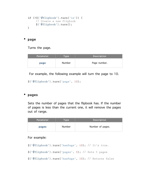```
if (!$('#flipbook').turn('is')) {
     // Create a new flipbook
     $('#flipbook').turn();
}
```
#### • page

Turns the page.

| Parameter | Type   | <b>Description</b> |
|-----------|--------|--------------------|
| page      | Number | Page number.       |

For example, the following example will turn the page to 10.

```
$('#flipbook').turn('page', 10);
```
#### • pages

Sets the number of pages that the flipbook has. If the number of pages is less than the current one, it will remove the pages out of range.

| Parameter | Type   | <b>Description</b> |
|-----------|--------|--------------------|
| pages     | Number | Number of pages.   |

#### For example:

```
$('#flipbook').turn('hasPage', 10); // It's true.
```

```
$('#flipbook').turn('pages', 5); // Sets 5 pages
```
\$('#flipbook').turn('hasPage', 10); // Returns false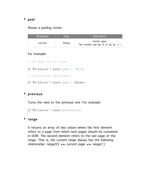### • peel

Shows a peeling corner.

| Parameter | Type   | <b>Description</b>                                        |
|-----------|--------|-----------------------------------------------------------|
| corner    | String | Corner type.<br>The corners can be: tl, tr, bl, br, r, l. |

#### For example:

// To show the br corner

```
$('#flipbook').turn('peel', 'br');
```
// To hide all the corners

\$('#flipbook').turn('peel', false);

### **previous**

Turns the view to the previous one. For example:

\$('#flipbook').turn('previous');

#### range

It returns an array of two values where the first element refers to a page from which next pages should be contained in DOM. The second element refers to the last page of the range. That is, the current range always has the following relationship:  $range[0] \leq$  current page  $\leq$  range[1]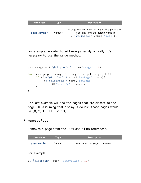| Parameter  | Type   | <b>Description</b>                                                                                                                                                       |
|------------|--------|--------------------------------------------------------------------------------------------------------------------------------------------------------------------------|
| pageNumber | Number | A page number within a range. This parameter<br>is optional and the default value is<br>$\frac{\zeta(\cdot \# \text{flipbook'}) \cdot \text{turn}(\cdot \text{page'})$ ; |

For example, in order to add new pages dynamically, it's necessary to use the range method:

```
var range = \zeta('#flipbook').turn('range', 10);
for \text{var page} = \text{range}[0]; \text{page} \leftarrow \text{range}[1]; \text{page} \leftarrow \text{figure}if (!$('#flipbook').turn('hasPage', page)) {
             $('#flipbook').turn('addPage',
                    $('&div/)&; page);
      }
}
```
The last example will add the pages that are closest to the page 10. Assuming that display is double, those pages would be [8, 9, 10, 11, 12, 13].

#### removePage

Removes a page from the DOM and all its references.

| Parameter  | Type   | <b>Description</b>            |
|------------|--------|-------------------------------|
| pageNumber | Number | Number of the page to remove. |

For example:

\$('#flipbook').turn('removePage', 10);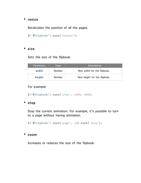#### • resize

Recalculate the position of all the pages.

\$('#flipbook').turn('resize');

#### • size

Sets the size of the flipbook.

| Parameter | <b>Type</b>   | <b>Description</b>           |
|-----------|---------------|------------------------------|
| width     | <b>Number</b> | New width for the flipbook.  |
| height    | <b>Number</b> | New height for the flipbook. |

For example:

\$('#flipbook').turn('size', 1000, 600);

#### • stop

Stop the current animation. For example, it's possible to turn to a page without having animation.

\$('#flipbook').turn('page', 10).turn('stop');

#### • zoom

Increases or reduces the size of the flipbook.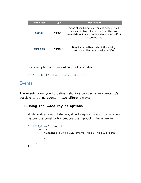| Parameter | <b>Type</b> | <b>Description</b>                                                                                                                                                   |
|-----------|-------------|----------------------------------------------------------------------------------------------------------------------------------------------------------------------|
| factor    | Number      | Factor of multiplication. For example, 2 would<br>increase in twice the size of the flipbook;<br>meanwhile 0.5 would reduce the size to half of<br>its current size. |
| duration  | Number      | Duration in milliseconds of the scaling<br>animation. The default value is 500.                                                                                      |

For example, to zoom out without animation:

```
$('#flipbook').turn('zoom', 0.5, 0);
```
# Events

The events allow you to define behaviors to specific moments. It's possible to define events in two different ways:

### 1. Using the when key of options

While adding event listeners, it will require to add the listeners before the constructor creates the flipbook. For example:

```
$('#flipbook').turn({
    when: {
         turning: function(event, page, pageObject) {
          }
     }
});
```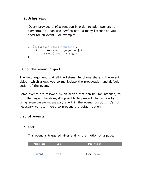### 2. Using bind

jQuery provides a *bind* function in order to add listeners to elements. You can use bind to add as many listener as you need for an event. For example:

```
$('#flipbook').bind('turning',
    function(event, page, obj){
         alert('Page '+ page);
});
```
### Using the event object

The first argument that all the listener functions share is the event object, which allows you to manipulate the propagation and default action of the event.

Some events are followed by an action that can be, for instance, to turn the page. Therefore, it's possible to prevent that action by using event.preventDefault(); within the event function. It's not necessary to return *false* to prevent the default action.

### List of events

### • end

This event is triggered after ending the motion of a page.

| Parameter | <b>Type</b> | <b>Description</b> |
|-----------|-------------|--------------------|
| event     | Event       | Event object.      |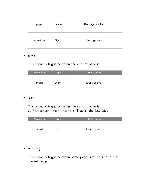| page       | Number | The page number |
|------------|--------|-----------------|
| pageObject | Object | The page data   |

### • first

This event is triggered when the current page is 1.

| Parameter | <b>Type</b> | Description   |
|-----------|-------------|---------------|
| event     | Event       | Event object. |

### • last

This event is triggered when the current page is \$('#flipbook').turn('pages'). That is, the last page.

| Parameter | <b>Type</b> | <b>Description</b> |
|-----------|-------------|--------------------|
| event     | Event       | Event object.      |

# • missing

This event is triggered when some pages are required in the current range.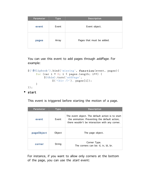| Parameter | <b>Type</b> | <b>Description</b>        |
|-----------|-------------|---------------------------|
| event     | Event       | Event object.             |
| pages     | Array       | Pages that must be added. |

You can use this event to add pages through addPage. For example:

```
$('#flipbook').bind('missing', function(event, pages){
     for (var i = 0; i \lt p ages.length; i^{++}) {
          $(this).turn('addPage',
               $('&div/)&; pages[i]);
     }
});
```

```
• start
```
This event is triggered before starting the motion of a page.

| Parameter  | <b>Type</b> | <b>Description</b>                                                                                                                                  |
|------------|-------------|-----------------------------------------------------------------------------------------------------------------------------------------------------|
| event      | Event       | The event object. The default action is to start<br>the animation. Preventing the default action,<br>there wouldn't be interaction with any corner. |
| pageObject | Object      | The page object.                                                                                                                                    |
| corner     | String      | Corner Type.<br>The corners can be: tl, tr, bl, br.                                                                                                 |

For instance, if you want to allow only corners at the bottom of the page, you can use the start event: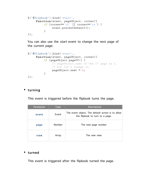```
$('#flipbook').bind('start',
     function(event, pageObject, corner){
         if (corner=='tl' || corner=='tr') {
               event.preventDefault();
          }
});
```
You can also use the *start* event to change the next page of the current page:

```
$('#flipbook').bind('start',
     function(event, pageObject, corner){
          if (pageObject.page==1) {
               // pageObject.next of the 1^{st} page is 2,
               // but let's change it:
               pageObject.next = 4;
          }
});
```
#### • turning

This event is triggered before the flipbook turns the page.

| Parameter | <b>Type</b>   | <b>Description</b>                                                                  |
|-----------|---------------|-------------------------------------------------------------------------------------|
| event     | Event         | The event object. The default action is to allow<br>the flipbook to turn to a page. |
| page      | <b>Number</b> | The new page number                                                                 |
| view      | Array         | The new view                                                                        |

### • turned

This event is triggered after the flipbook turned the page.